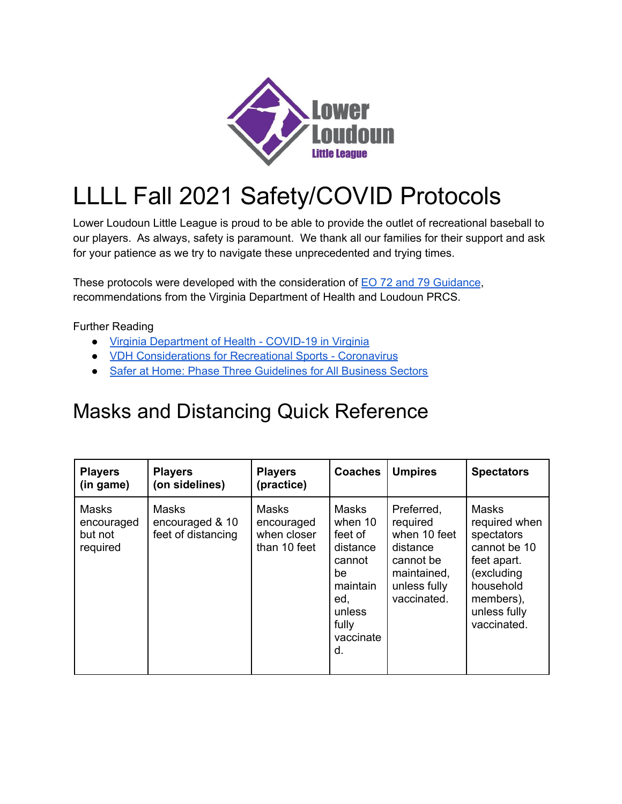

## LLLL Fall 2021 Safety/COVID Protocols

Lower Loudoun Little League is proud to be able to provide the outlet of recreational baseball to our players. As always, safety is paramount. We thank all our families for their support and ask for your patience as we try to navigate these unprecedented and trying times.

These protocols were developed with the consideration of EO 72 and 79 [Guidance](https://www.vdh.virginia.gov/content/uploads/sites/8/2021/05/Mask-changes-EO-72.pdf), recommendations from the Virginia Department of Health and Loudoun PRCS.

Further Reading

- Virginia [Department](https://www.vdh.virginia.gov/coronavirus/) of Health COVID-19 in Virginia
- VDH [Considerations](https://www.vdh.virginia.gov/coronavirus/schools-workplaces-community-locations/sports/) for Recreational Sports Coronavirus
- Safer at Home: Phase Three [Guidelines](https://www.governor.virginia.gov/media/governorvirginiagov/governor-of-virginia/pdf/Forward-Virginia-Phase-Three-Guidelines-2-24-21.pdf) for All Business Sectors

## Masks and Distancing Quick Reference

| <b>Players</b><br>(in game)                | <b>Players</b><br>(on sidelines)                      | <b>Players</b><br>(practice)                              | <b>Coaches</b>                                                                                                          | <b>Umpires</b>                                                                                                | <b>Spectators</b>                                                                                                                                 |
|--------------------------------------------|-------------------------------------------------------|-----------------------------------------------------------|-------------------------------------------------------------------------------------------------------------------------|---------------------------------------------------------------------------------------------------------------|---------------------------------------------------------------------------------------------------------------------------------------------------|
| Masks<br>encouraged<br>but not<br>required | <b>Masks</b><br>encouraged & 10<br>feet of distancing | <b>Masks</b><br>encouraged<br>when closer<br>than 10 feet | <b>Masks</b><br>when 10<br>feet of<br>distance<br>cannot<br>be<br>maintain<br>ed,<br>unless<br>fully<br>vaccinate<br>d. | Preferred,<br>required<br>when 10 feet<br>distance<br>cannot be<br>maintained,<br>unless fully<br>vaccinated. | <b>Masks</b><br>required when<br>spectators<br>cannot be 10<br>feet apart.<br>(excluding<br>household<br>members),<br>unless fully<br>vaccinated. |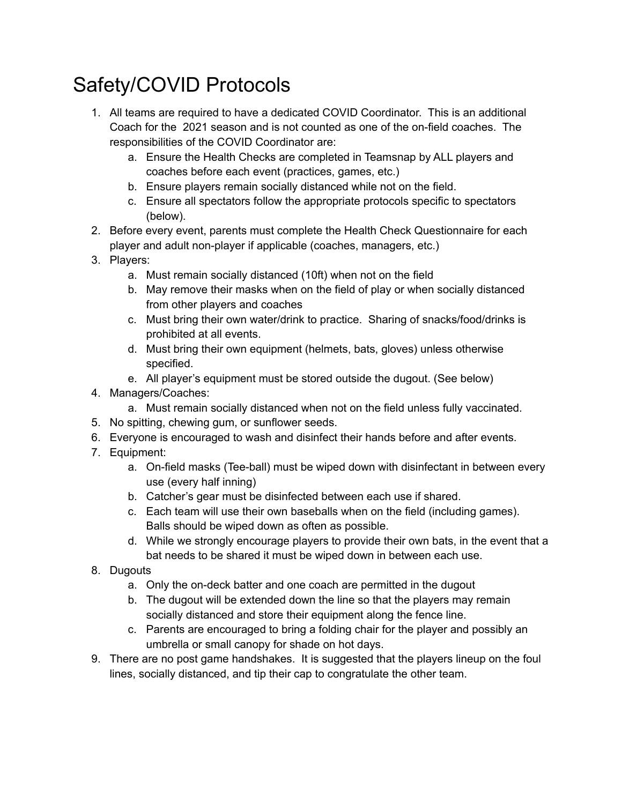## Safety/COVID Protocols

- 1. All teams are required to have a dedicated COVID Coordinator. This is an additional Coach for the 2021 season and is not counted as one of the on-field coaches. The responsibilities of the COVID Coordinator are:
	- a. Ensure the Health Checks are completed in Teamsnap by ALL players and coaches before each event (practices, games, etc.)
	- b. Ensure players remain socially distanced while not on the field.
	- c. Ensure all spectators follow the appropriate protocols specific to spectators (below).
- 2. Before every event, parents must complete the Health Check Questionnaire for each player and adult non-player if applicable (coaches, managers, etc.)
- 3. Players:
	- a. Must remain socially distanced (10ft) when not on the field
	- b. May remove their masks when on the field of play or when socially distanced from other players and coaches
	- c. Must bring their own water/drink to practice. Sharing of snacks/food/drinks is prohibited at all events.
	- d. Must bring their own equipment (helmets, bats, gloves) unless otherwise specified.
	- e. All player's equipment must be stored outside the dugout. (See below)
- 4. Managers/Coaches:
	- a. Must remain socially distanced when not on the field unless fully vaccinated.
- 5. No spitting, chewing gum, or sunflower seeds.
- 6. Everyone is encouraged to wash and disinfect their hands before and after events.
- 7. Equipment:
	- a. On-field masks (Tee-ball) must be wiped down with disinfectant in between every use (every half inning)
	- b. Catcher's gear must be disinfected between each use if shared.
	- c. Each team will use their own baseballs when on the field (including games). Balls should be wiped down as often as possible.
	- d. While we strongly encourage players to provide their own bats, in the event that a bat needs to be shared it must be wiped down in between each use.
- 8. Dugouts
	- a. Only the on-deck batter and one coach are permitted in the dugout
	- b. The dugout will be extended down the line so that the players may remain socially distanced and store their equipment along the fence line.
	- c. Parents are encouraged to bring a folding chair for the player and possibly an umbrella or small canopy for shade on hot days.
- 9. There are no post game handshakes. It is suggested that the players lineup on the foul lines, socially distanced, and tip their cap to congratulate the other team.